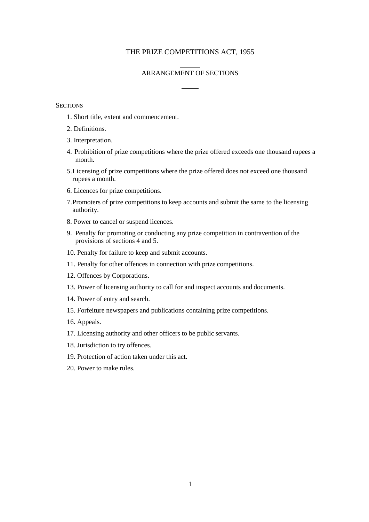## THE PRIZE COMPETITIONS ACT, 1955

## ARRANGEMENT OF SECTIONS

## **SECTIONS**

- 1. Short title, extent and commencement.
- 2. Definitions.
- 3. Interpretation.
- 4. Prohibition of prize competitions where the prize offered exceeds one thousand rupees a month.
- 5.Licensing of prize competitions where the prize offered does not exceed one thousand rupees a month.
- 6. Licences for prize competitions.
- 7.Promoters of prize competitions to keep accounts and submit the same to the licensing authority.
- 8. Power to cancel or suspend licences.
- 9. Penalty for promoting or conducting any prize competition in contravention of the provisions of sections 4 and 5.
- 10. Penalty for failure to keep and submit accounts.
- 11. Penalty for other offences in connection with prize competitions.
- 12. Offences by Corporations.
- 13. Power of licensing authority to call for and inspect accounts and documents.
- 14. Power of entry and search.
- 15. Forfeiture newspapers and publications containing prize competitions.
- 16. Appeals.
- 17. Licensing authority and other officers to be public servants.
- 18. Jurisdiction to try offences.
- 19. Protection of action taken under this act.
- 20. Power to make rules.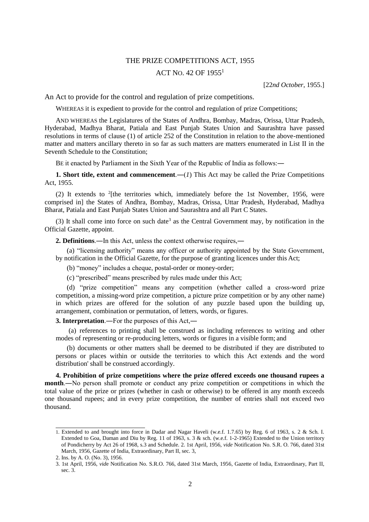## THE PRIZE COMPETITIONS ACT, 1955 ACT NO. 42 OF  $1955<sup>1</sup>$

[22*nd October*, 1955.]

An Act to provide for the control and regulation of prize competitions.

WHEREAS it is expedient to provide for the control and regulation of prize Competitions;

AND WHEREAS the Legislatures of the States of Andhra, Bombay, Madras, Orissa, Uttar Pradesh, Hyderabad, Madhya Bharat, Patiala and East Punjab States Union and Saurashtra have passed resolutions in terms of clause (1) of article 252 of the Constitution in relation to the above-mentioned matter and matters ancillary thereto in so far as such matters are matters enumerated in List II in the Seventh Schedule to the Constitution;

BE it enacted by Parliament in the Sixth Year of the Republic of India as follows:―

**1. Short title, extent and commencement.**— $(I)$  This Act may be called the Prize Competitions Act, 1955.

(2) It extends to  $2$ [the territories which, immediately before the 1st November, 1956, were comprised in] the States of Andhra, Bombay, Madras, Orissa, Uttar Pradesh, Hyderabad, Madhya Bharat, Patiala and East Punjab States Union and Saurashtra and all Part C States.

(3) It shall come into force on such date<sup>3</sup> as the Central Government may, by notification in the Official Gazette, appoint.

**2. Definitions**.―In this Act, unless the context otherwise requires,―

(a) "licensing authority" means any officer or authority appointed by the State Government, by notification in the Official Gazette, for the purpose of granting licences under this Act;

(b) "money" includes a cheque, postal-order or money-order;

(c) "prescribed" means prescribed by rules made under this Act;

(d) "prize competition" means any competition (whether called a cross-word prize competition, a missing-word prize competition, a picture prize competition or by any other name) in which prizes are offered for the solution of any puzzle based upon the building up, arrangement, combination or permutation, of letters, words, or figures.

**3. Interpretation**.―For the purposes of this Act,―

(a) references to printing shall be construed as including references to writing and other modes of representing or re-producing letters, words or figures in a visible form; and

(b) documents or other matters shall be deemed to be distributed if they are distributed to persons or places within or outside the territories to which this Act extends and the word distribution' shall be construed accordingly.

**4. Prohibition of prize competitions where the prize offered exceeds one thousand rupees a month**.―No person shall promote or conduct any prize competition or competitions in which the total value of the prize or prizes (whether in cash or otherwise) to be offered in any month exceeds one thousand rupees; and in every prize competition, the number of entries shall not exceed two thousand.

<sup>1.</sup> Extended to and brought into force in Dadar and Nagar Haveli (w.e.f. 1.7.65) by Reg. 6 of 1963, s. 2 & Sch. I. Extended to Goa, Daman and Diu by Reg. 11 of 1963, s. 3 & sch. (w.e.f. 1-2-1965) Extended to the Union territory of Pondicherry by Act 26 of 1968, s.3 and Schedule. 2. 1st April, 1956, *vide* Notification No. S.R. O. 766, dated 31st March, 1956, Gazette of India, Extraordinary, Part II, sec. 3,

<sup>2.</sup> Ins. by A. O. (No. 3), 1956.

<sup>3. 1</sup>st April, 1956, *vid*e Notification No. S.R.O. 766, dated 31st March, 1956, Gazette of India, Extraordinary, Part II, sec. 3.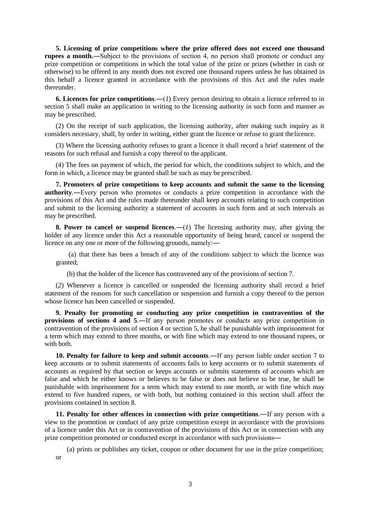**5. Licensing of prize competitions where the prize offered does not exceed one thousand rupees a month.**—Subject to the provisions of section 4, no person shall promote or conduct any prize competition or competitions in which the total value of the prize or prizes (whether in cash or otherwise) to be offered in any month does not exceed one thousand rupees unless he has obtained in this behalf a licence granted in accordance with the provisions of this Act and the rules made thereunder.

**6. Licences for prize competitions**.―(*1*) Every person desiring to obtain a licence referred to in section 5 shall make an application in writing to the licensing authority in such form and manner as may be prescribed.

(2) On the receipt of such application, the licensing authority, after making such inquiry as it considers necessary, shall, by order in writing, either grant the licence or refuse to grant thelicence.

(3) Where the licensing authority refuses to grant a licence it shall record a brief statement of the reasons for such refusal and furnish a copy thereof to the applicant.

(4) The fees on payment of which, the period for which, the conditions subject to which, and the form in which, a licence may be granted shall be such as may be prescribed.

**7. Promoters of prize competitions to keep accounts and submit the same to the licensing authority**.―Every person who promotes or conducts a prize competition in accordance with the provisions of this Act and the rules made thereunder shall keep accounts relating to such competition and submit to the licensing authority a statement of accounts in such form and at such intervals as may be prescribed.

**8. Power to cancel or suspend licences**.―(*1*) The licensing authority may, after giving the holder of any licence under this Act a reasonable opportunity of being heard, cancel or suspend the licence on any one or more of the following grounds, namely:―

(a) that there has been a breach of any of the conditions subject to which the licence was granted;

(b) that the holder of the licence has contravened any of the provisions of section 7.

(*2*) Whenever a licence is cancelled or suspended the licensing authority shall record a brief statement of the reasons for such cancellation or suspension and furnish a copy thereof to the person whose licence has been cancelled or suspended.

**9. Penalty for promoting or conducting any prize competition in contravention of the provisions of sections 4 and 5**.―If any person promotes or conducts any prize competition in contravention of the provisions of section 4 or section 5, he shall be punishable with imprisonment for a term which may extend to three months, or with fine which may extend to one thousand rupees, or with both.

**10. Penalty for failure to keep and submit accounts**.―If any person liable under section 7 to keep accounts or to submit statements of accounts fails to keep accounts or to submit statements of accounts as required by that section or keeps accounts or submits statements of accounts which are false and which he either knows or believes to be false or does not believe to be true, he shall be punishable with imprisonment for a term which may extend to one month, or with fine which may extend to five hundred rupees, or with both, but nothing contained in this section shall affect the provisions contained in section 8.

**11. Penalty for other offences in connection with prize competitions**.―If any person with a view to the promotion or conduct of any prize competition except in accordance with the provisions of a licence under this Act or in contravention of the provisions of this Act or in connection with any prize competition promoted or conducted except in accordance with such provisions―

(a) prints or publishes any ticket, coupon or other document for use in the prize competition; or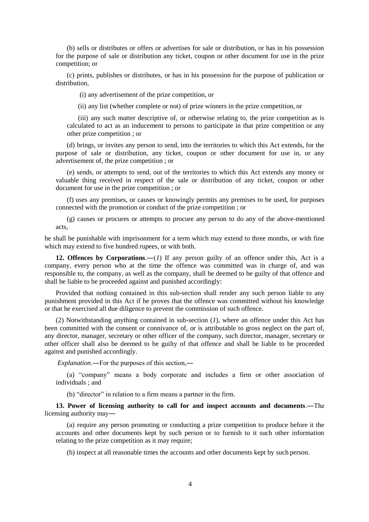(b) sells or distributes or offers or advertises for sale or distribution, or has in his possession for the purpose of sale or distribution any ticket, coupon or other document for use in the prize competition; or

(c) prints, publishes or distributes, or has in his possession for the purpose of publication or distribution,

(i) any advertisement of the prize competition, or

(ii) any list (whether complete or not) of prize winners in the prize competition, or

(iii) any such matter descriptive of, or otherwise relating to, the prize competition as is calculated to act as an inducement to persons to participate in that prize competition or any other prize competition ; or

(d) brings, or invites any person to send, into the territories to which this Act extends, for the purpose of sale or distribution, any ticket, coupon or other document for use in, or any advertisement of, the prize competition ; or

(e) sends, or attempts to send, out of the territories to which this Act extends any money or valuable thing received in respect of the sale or distribution of any ticket, coupon or other document for use in the prize competition ; or

(f) uses any premises, or causes or knowingly permits any premises to be used, for purposes connected with the promotion or conduct of the prize competition ; or

(g) causes or procures or attempts to procure any person to do any of the above-mentioned acts,

he shall be punishable with imprisonment for a term which may extend to three months, or with fine which may extend to five hundred rupees, or with both.

**12. Offences by Corporations.**—(*1*) If any person guilty of an offence under this, Act is a company, every person who at the time the offence was committed was in charge of, and was responsible to, the company, as well as the company, shall be deemed to be guilty of that offence and shall be liable to be proceeded against and punished accordingly:

Provided that nothing contained in this sub-section shall render any such person liable to any punishment provided in this Act if he proves that the offence was committed without his knowledge or that he exercised all due diligence to prevent the commission of such offence.

(2) Notwithstanding anything contained in sub-section (*1*), where an offence under this Act has been committed with the consent or connivance of, or is attributable to gross neglect on the part of, any director, manager, secretary or other officer of the company, such director, manager, secretary or other officer shall also be deemed to be guilty of that offence and shall be liable to be proceeded against and punished accordingly.

*Explanation*.―For the purposes of this section,―

(a) "company" means a body corporate and includes a firm or other association of individuals ; and

(b) "director" in relation to a firm means a partner in the firm.

**13. Power of licensing authority to call for and inspect accounts and documents**.―The licensing authority may―

(a) require any person promoting or conducting a prize competition to produce before it the accounts and other documents kept by such person or to furnish to it such other information relating to the prize competition as it may require;

(b) inspect at all reasonable times the accounts and other documents kept by such person.